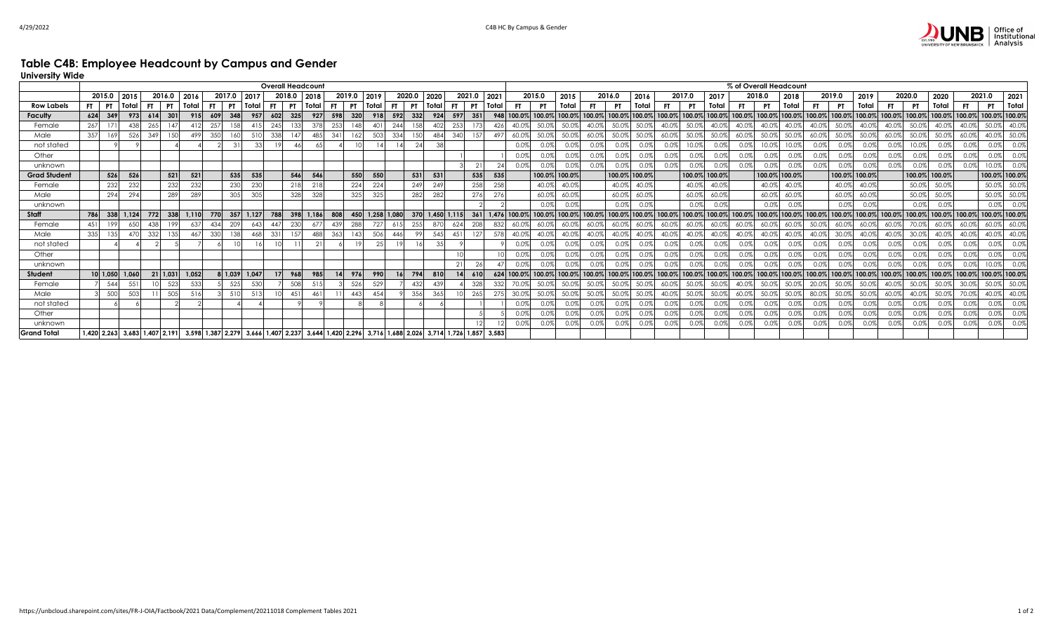## **Table C4B: Employee Headcount by Campus and Gender**

**University Wide**

|                     | <b>Overall Headcount</b> |           |                               |           |                 |           |                                     |      |       |        |           |                   |     |              |              | % of Overall Headcount |           |       |     |                  |             |     |               |               |         |             |                 |               |               |                      |         |        |               |        |        |                                                                                                                                                              |       |           |               |                |        |               |       |
|---------------------|--------------------------|-----------|-------------------------------|-----------|-----------------|-----------|-------------------------------------|------|-------|--------|-----------|-------------------|-----|--------------|--------------|------------------------|-----------|-------|-----|------------------|-------------|-----|---------------|---------------|---------|-------------|-----------------|---------------|---------------|----------------------|---------|--------|---------------|--------|--------|--------------------------------------------------------------------------------------------------------------------------------------------------------------|-------|-----------|---------------|----------------|--------|---------------|-------|
|                     | 2015.0<br>2015           |           |                               | 2016.0    | 2016            |           | 2017.0                              | 2017 |       | 2018.0 |           | 2018              |     | 2019.0       | 2019         |                        | 2020.0    | 2020  |     | 2021.0           | 2021        |     |               | 2015.0        | 2015    |             | 2016.0          | 2016          |               | 2017.0               | 2017    |        | 2018.0        | 2018   |        | 2019.0                                                                                                                                                       | 2019  |           | 2020.0        | 2020           |        | 2021.0        | 2021  |
| <b>Row Labels</b>   | FT                       | <b>PT</b> | Total<br>FT.                  | <b>PT</b> | Total           | <b>FT</b> | <b>PT</b>                           |      | Total | FT.    | <b>PT</b> | Total             | FT  | <b>PT</b>    | Total        | FT.                    | <b>PT</b> | Total |     | FT.<br><b>PT</b> | Total       |     |               | <b>PT</b>     | Total   |             | <b>PT</b>       | Total         |               | - PT                 | Total   | FT.    | <b>PT</b>     | Total  |        | - PT                                                                                                                                                         | Total | <b>FT</b> |               | Total          | FT.    | <b>PT</b>     | Total |
| Faculty             | 624                      | 349       | 973                           | 614       | 301             | 915       | 609                                 | 348  | 957   | 602    | 325       | 927               | 598 | 320          | 918          | 592                    | 332       |       | 924 | 597<br>351       |             | 948 | 100.0% 100.0% |               | 100.0%  | 100.0%      | 100.0           | 100.0%        | 100.0% 100.09 |                      | 100.0%  | 100.0% | 100.0%        | 100.0% | 100.0% | 100.0% 100.0%                                                                                                                                                |       | 100.0%    | 100.0%        | 100.0%         | 100.0% | 100.0% 100.0% |       |
| Female              | 267                      |           |                               |           |                 |           | 257                                 |      |       | 245    | 133       | 378               | 253 |              | $40^{\circ}$ | 244                    |           |       | 402 | 253              |             | 42  |               | 50.0          | 50.0%   |             | 50.C            | 50.09         |               |                      |         |        |               | 40.0%  |        |                                                                                                                                                              | 40.0% |           | 50.09         |                | 40.0%  | 50.0%         |       |
| Male                | 357                      |           | 52 <sub>t</sub>               | 349       | 49              |           | 35C                                 |      |       | 338    | 14        | 48                | 341 |              | 50           | 334                    |           | 48.   |     | 340              | 49          |     |               | 50.           | 50.0%   |             | 50.0            | 50.09         |               |                      | 50.09   |        | 50.0          | 50.0%  |        |                                                                                                                                                              | 50.09 |           | 50.0%         | $50.0^{\circ}$ | 60.0%  | 40.0%         | 50.0% |
| not stated          |                          |           |                               |           |                 |           |                                     |      |       |        |           |                   |     |              |              |                        |           |       | 38  |                  |             |     | 0.0%          |               | 0.0%    | 0.0%        |                 | 0.0%          | 0.0%          |                      | 0.0%    |        |               | 10.0%  | 0.0%   |                                                                                                                                                              |       |           |               | 0.09           | 0.0%   | 0.0%          | 0.0%  |
| Other               |                          |           |                               |           |                 |           |                                     |      |       |        |           |                   |     |              |              |                        |           |       |     |                  |             |     | 0.0%          |               | 0.0%    |             |                 | 0.0%          | 0.0%          |                      |         |        |               | 0.0%   | 0.0%   | $0.0\%$                                                                                                                                                      |       |           |               |                | 0.0%   | 0.0%          | 0.0%  |
| unknown             |                          |           |                               |           |                 |           |                                     |      |       |        |           |                   |     |              |              |                        |           |       |     |                  |             |     | $0.0\%$       |               | 0.0%    |             |                 | 0.0%          | 0.0%          |                      | 0.0%    |        |               | 0.0%   | 0.0%   | 0.0%                                                                                                                                                         | 0.0%  |           | 0.0%          |                | 0.0%   | 0.0%          | 0.0%  |
| <b>Grad Student</b> |                          | 526       | 526                           |           | 521<br>521      |           |                                     | 535  | 535   |        | 546       | 546               |     | 550          | 550          |                        | 531       | 531   |     | 535              |             | 535 |               | 100.0% 100.0% |         |             |                 | 100.0% 100.0% |               | 100.0% 100.0%        |         |        | 100.0% 100.0% |        |        | 100.0% 100.0%                                                                                                                                                |       |           | 100.0% 100.0% |                |        | 100.0% 100.0% |       |
| Female              |                          | 232       | 232                           |           | 232<br>232      |           |                                     | 230  | 230   |        | 218       | 218               |     | 224          | 224          |                        | 249       |       | 249 | 258              |             | 258 |               | 40.0%         | 40.0%   |             | 40.0%           | 40.0%         |               | 40.0%                | 40.0%   |        | 40.0%         | 40.0%  |        | 40.0%                                                                                                                                                        | 40.0% |           | 50.0%         | 50.09          |        | 50.0%         | 50.09 |
| Male                |                          | 294       | 294                           |           | 289<br>289      |           |                                     | 305  | 305   |        | 328       | 328               |     | 325          | 325          |                        | 282       |       | 282 | 276              | 276         |     |               | 60.0%         | 60.0%   |             | 60.0%           | 60.0%         |               | 60.0%                | 60.0%   |        | 60.0%         | 60.0%  |        | 60.0%                                                                                                                                                        | 60.0% |           | 50.0%         | 50.0%          |        | 50.0%         | 50.0% |
| unknown             |                          |           |                               |           |                 |           |                                     |      |       |        |           |                   |     |              |              |                        |           |       |     |                  |             |     |               |               | 0.0%    |             | 0.0%            | 0.0%          |               |                      | 0.0%    |        | 0.0%          | 0.0%   |        | 0.0%                                                                                                                                                         | 0.0%  |           | 0.0%          | 0.0%           |        | 0.0%          |       |
| Staff               | 786                      | 338       | 1.124                         | 772       | 338<br>.110     | 770       |                                     | 357  | 1,127 | 788    | 398       | 1,186             | 808 | 450          |              | 1,258 1,080            | 370       | 1,450 |     | 1.115            | 1,476       |     | 100.0% 100.0% |               | 100.0%  |             | 100.0% 100.0%   | 100.0%        |               | 100.0% 100.0% 100.0% |         | 100.0% | 100.0%        | 100.0% | 100.0% | 100.0% 100.0%                                                                                                                                                |       | 100.0%    | 100.0%        | 100.0%         | 100.0% | 100.0% 100.0% |       |
| Female              | 451                      | 199       | 650                           | 438       | 63              |           | 434                                 | 209  | 64    | 447    | 230       | 67                | 439 | 288          | 72           |                        | 255       |       | 870 | 624              |             | 832 |               | 60.0          | 60.0%   | 60.0%       | 60.09           | 60.0%         |               | 60.09                | 60.0%   |        | 60.09         | 60.0%  | 50.0%  |                                                                                                                                                              | 60.09 |           |               | 60.0           | 60.0%  | 60.0%         | 60.0% |
| Male                | 335                      |           |                               | 332       | 46              |           | 33C                                 |      | 46    | 331    | 157       | 488               | 363 |              | 506          | 446                    |           |       | 545 | 451              |             | 578 |               | 40.0%         | 40.0%   | 40.0%       |                 | 40.0%         | 40.0%         |                      | 40.0%   |        |               | 40.0%  |        | 30.0%                                                                                                                                                        | 40.0% |           | 30.0%         |                | 40.0%  |               | 40.0% |
| not stated          |                          |           |                               |           |                 |           |                                     |      |       |        |           |                   |     |              |              |                        |           |       |     |                  |             |     |               |               |         |             |                 |               |               |                      |         |        |               |        |        |                                                                                                                                                              |       |           |               |                | 0.0%   |               |       |
| Other               |                          |           |                               |           |                 |           |                                     |      |       |        |           |                   |     |              |              |                        |           |       |     |                  |             |     |               |               | ገ በ%    |             |                 | 0.0%          | $0.0\%$       |                      |         |        |               | 0.09   |        | $0.0\%$                                                                                                                                                      |       |           |               |                | 0.0%   |               |       |
| unknown             |                          |           |                               |           |                 |           |                                     |      |       |        |           |                   |     |              |              |                        |           |       |     | 21<br>$\gamma$   |             |     | 0 0%          |               | 0.0%    | <u>ሰ በጁ</u> |                 | 0.0%          | 0.0%          |                      |         |        |               | 0.0%   | 0.0%   | $0.0\%$                                                                                                                                                      | 0.0%  |           |               |                | 0.0%   |               |       |
| Student             |                          |           | 10 1,050 1,060                | 21 1,031  | 1,052           |           | 8 1,039                             |      | 1,047 |        | 968       | 985               |     | 976          | 990          |                        | 794       |       |     | 14               |             | 624 | 100.0% 100.0% |               | 100.0%  |             | 100.0% 100.0%   |               |               |                      |         |        |               |        |        | $\left  100.0\% \right  100.0\% \left  100.0\% \right  100.0\% \left  100.0\% \right  100.0\% \left  100.0\% \right  100.0\% \left  100.0\% \right  100.0\%$ |       |           | 100.0% 100.0% | 100.0%         | 100.0% | 100.0% 100.0% |       |
| Female              |                          | 544       | 551                           |           | 533<br>523      |           |                                     | 525  | 530   |        | 508       | 515               |     | 526          | 529          |                        | 432       |       | 439 | 328              |             | 332 |               | 50.           | 50.0%   | 50.0%       | 50.0            | 50.0%         |               | 50.C                 | 50.0%   |        |               | 50.0%  |        |                                                                                                                                                              | 50.09 |           | 50.0%         | 50.0           | 30.0%  | 50.0%         | 50.09 |
| Male                |                          | 500       | 503                           |           | 51 <sub>6</sub> |           |                                     | 510  | 51    |        | 451       | 46                |     | $44^{\circ}$ | 454          |                        | 356       |       | 365 |                  |             | 275 |               | 50.C          | 50.09   | 50.0%       | 50 <sub>0</sub> | 50.09         |               |                      | 50.09   |        | 50.09         | 50.09  |        |                                                                                                                                                              |       |           |               | $50.0^{\circ}$ | 70.0%  | 40.0%         | 40.0% |
| not stated          |                          |           |                               |           |                 |           |                                     |      |       |        |           |                   |     |              |              |                        |           |       |     |                  |             |     | $0.0\%$       | 0.0%          | $0.0\%$ | 0.0%        | 0.0%            | 0.0%          | 0.0%          | 0.0%                 | $0.0\%$ | 0.0%   | 0.0%          | 0.0%   | 0.0%   | 0.0%                                                                                                                                                         | 0.0%  | 0.0%      | 0.0%          | 0.0%           | 0.0%   | 0.0%          | 0.0%  |
| Other               |                          |           |                               |           |                 |           |                                     |      |       |        |           |                   |     |              |              |                        |           |       |     |                  |             |     | 0.0%          |               | $0.0\%$ | 0.0%        |                 | 0.0%          | 0.0%          |                      | $0.0\%$ |        |               | 0.0%   | 0.0%   | 0.0%                                                                                                                                                         | 0.0%  |           | 0.0%          |                | 0.0%   | 0.0%          | 0.0%  |
| unknown             |                          |           |                               |           |                 |           |                                     |      |       |        |           |                   |     |              |              |                        |           |       |     |                  |             |     | 0%            |               | 0.0%    | 0.0%        |                 | 0.0%          | 0.0%          |                      | 0.0%    |        | 0.0%          | 0.0%   | 0.0%   | 0.0%                                                                                                                                                         | 0.0%  |           | 0.0%          |                | 0.0%   | 0.0%          | 0.0%  |
| <b>Grand Total</b>  |                          |           | 1,420 2,263 3,683 1,407 2,191 |           |                 |           | 3,598 1,387 2,279 3,666 1,407 2,237 |      |       |        |           | 3,644 1,420 2,296 |     |              |              | 3,716 1,688 2,026      |           | 3,714 |     | 1.726            | 1,857 3,583 |     |               |               |         |             |                 |               |               |                      |         |        |               |        |        |                                                                                                                                                              |       |           |               |                |        |               |       |